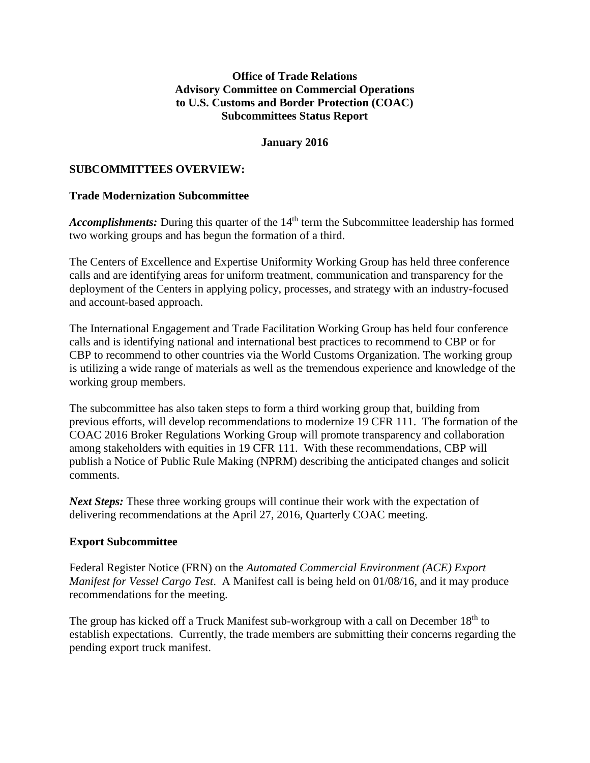#### **Office of Trade Relations Advisory Committee on Commercial Operations to U.S. Customs and Border Protection (COAC) Subcommittees Status Report**

#### **January 2016**

#### **SUBCOMMITTEES OVERVIEW:**

#### **Trade Modernization Subcommittee**

*Accomplishments:* During this quarter of the 14<sup>th</sup> term the Subcommittee leadership has formed two working groups and has begun the formation of a third.

The Centers of Excellence and Expertise Uniformity Working Group has held three conference calls and are identifying areas for uniform treatment, communication and transparency for the deployment of the Centers in applying policy, processes, and strategy with an industry-focused and account-based approach.

The International Engagement and Trade Facilitation Working Group has held four conference calls and is identifying national and international best practices to recommend to CBP or for CBP to recommend to other countries via the World Customs Organization. The working group is utilizing a wide range of materials as well as the tremendous experience and knowledge of the working group members.

The subcommittee has also taken steps to form a third working group that, building from previous efforts, will develop recommendations to modernize 19 CFR 111. The formation of the COAC 2016 Broker Regulations Working Group will promote transparency and collaboration among stakeholders with equities in 19 CFR 111. With these recommendations, CBP will publish a Notice of Public Rule Making (NPRM) describing the anticipated changes and solicit comments.

*Next Steps:* These three working groups will continue their work with the expectation of delivering recommendations at the April 27, 2016, Quarterly COAC meeting.

#### **Export Subcommittee**

Federal Register Notice (FRN) on the *Automated Commercial Environment (ACE) Export Manifest for Vessel Cargo Test*. A Manifest call is being held on 01/08/16, and it may produce recommendations for the meeting.

The group has kicked off a Truck Manifest sub-workgroup with a call on December 18<sup>th</sup> to establish expectations. Currently, the trade members are submitting their concerns regarding the pending export truck manifest.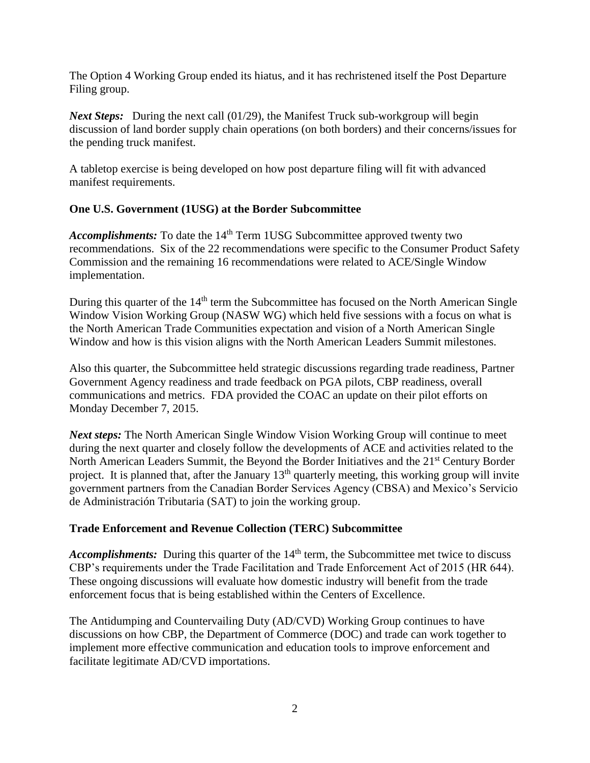The Option 4 Working Group ended its hiatus, and it has rechristened itself the Post Departure Filing group.

*Next Steps:* During the next call (01/29), the Manifest Truck sub-workgroup will begin discussion of land border supply chain operations (on both borders) and their concerns/issues for the pending truck manifest.

A tabletop exercise is being developed on how post departure filing will fit with advanced manifest requirements.

### **One U.S. Government (1USG) at the Border Subcommittee**

Accomplishments: To date the 14<sup>th</sup> Term 1USG Subcommittee approved twenty two recommendations. Six of the 22 recommendations were specific to the Consumer Product Safety Commission and the remaining 16 recommendations were related to ACE/Single Window implementation.

During this quarter of the  $14<sup>th</sup>$  term the Subcommittee has focused on the North American Single Window Vision Working Group (NASW WG) which held five sessions with a focus on what is the North American Trade Communities expectation and vision of a North American Single Window and how is this vision aligns with the North American Leaders Summit milestones.

Also this quarter, the Subcommittee held strategic discussions regarding trade readiness, Partner Government Agency readiness and trade feedback on PGA pilots, CBP readiness, overall communications and metrics. FDA provided the COAC an update on their pilot efforts on Monday December 7, 2015.

*Next steps:* The North American Single Window Vision Working Group will continue to meet during the next quarter and closely follow the developments of ACE and activities related to the North American Leaders Summit, the Beyond the Border Initiatives and the 21<sup>st</sup> Century Border project. It is planned that, after the January 13th quarterly meeting, this working group will invite government partners from the Canadian Border Services Agency (CBSA) and Mexico's Servicio de Administración Tributaria (SAT) to join the working group.

### **Trade Enforcement and Revenue Collection (TERC) Subcommittee**

*Accomplishments:* During this quarter of the 14<sup>th</sup> term, the Subcommittee met twice to discuss CBP's requirements under the Trade Facilitation and Trade Enforcement Act of 2015 (HR 644). These ongoing discussions will evaluate how domestic industry will benefit from the trade enforcement focus that is being established within the Centers of Excellence.

The Antidumping and Countervailing Duty (AD/CVD) Working Group continues to have discussions on how CBP, the Department of Commerce (DOC) and trade can work together to implement more effective communication and education tools to improve enforcement and facilitate legitimate AD/CVD importations.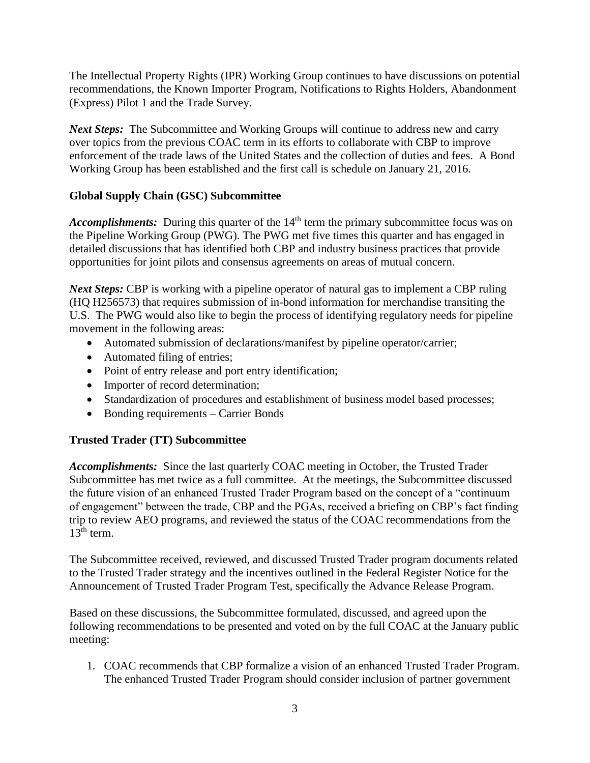The Intellectual Property Rights (IPR) Working Group continues to have discussions on potential recommendations, the Known Importer Program, Notifications to Rights Holders, Abandonment (Express) Pilot 1 and the Trade Survey.

*Next Steps:* The Subcommittee and Working Groups will continue to address new and carry over topics from the previous COAC term in its efforts to collaborate with CBP to improve enforcement of the trade laws of the United States and the collection of duties and fees. A Bond Working Group has been established and the first call is schedule on January 21, 2016.

## **Global Supply Chain (GSC) Subcommittee**

Accomplishments: During this quarter of the 14<sup>th</sup> term the primary subcommittee focus was on the Pipeline Working Group (PWG). The PWG met five times this quarter and has engaged in detailed discussions that has identified both CBP and industry business practices that provide opportunities for joint pilots and consensus agreements on areas of mutual concern.

*Next Steps:* CBP is working with a pipeline operator of natural gas to implement a CBP ruling (HQ H256573) that requires submission of in-bond information for merchandise transiting the U.S. The PWG would also like to begin the process of identifying regulatory needs for pipeline movement in the following areas:

- Automated submission of declarations/manifest by pipeline operator/carrier;
- Automated filing of entries;
- Point of entry release and port entry identification;
- Importer of record determination;
- Standardization of procedures and establishment of business model based processes;
- Bonding requirements Carrier Bonds

# **Trusted Trader (TT) Subcommittee**

*Accomplishments:* Since the last quarterly COAC meeting in October, the Trusted Trader Subcommittee has met twice as a full committee. At the meetings, the Subcommittee discussed the future vision of an enhanced Trusted Trader Program based on the concept of a "continuum of engagement" between the trade, CBP and the PGAs, received a briefing on CBP's fact finding trip to review AEO programs, and reviewed the status of the COAC recommendations from the  $13^{\text{th}}$  term.

The Subcommittee received, reviewed, and discussed Trusted Trader program documents related to the Trusted Trader strategy and the incentives outlined in the Federal Register Notice for the Announcement of Trusted Trader Program Test, specifically the Advance Release Program.

Based on these discussions, the Subcommittee formulated, discussed, and agreed upon the following recommendations to be presented and voted on by the full COAC at the January public meeting:

1. COAC recommends that CBP formalize a vision of an enhanced Trusted Trader Program. The enhanced Trusted Trader Program should consider inclusion of partner government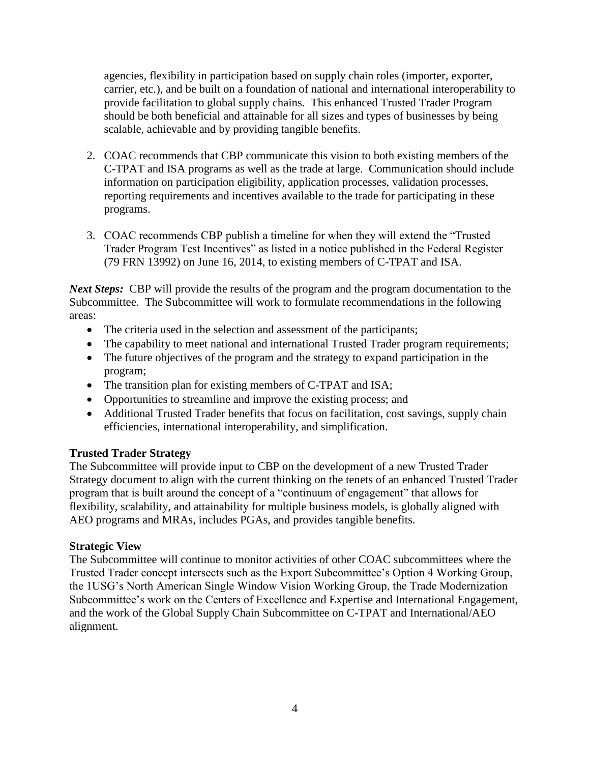agencies, flexibility in participation based on supply chain roles (importer, exporter, carrier, etc.), and be built on a foundation of national and international interoperability to provide facilitation to global supply chains. This enhanced Trusted Trader Program should be both beneficial and attainable for all sizes and types of businesses by being scalable, achievable and by providing tangible benefits.

- 2. COAC recommends that CBP communicate this vision to both existing members of the C-TPAT and ISA programs as well as the trade at large. Communication should include information on participation eligibility, application processes, validation processes, reporting requirements and incentives available to the trade for participating in these programs.
- 3. COAC recommends CBP publish a timeline for when they will extend the "Trusted Trader Program Test Incentives" as listed in a notice published in the Federal Register (79 FRN 13992) on June 16, 2014, to existing members of C-TPAT and ISA.

*Next Steps:* CBP will provide the results of the program and the program documentation to the Subcommittee. The Subcommittee will work to formulate recommendations in the following areas:

- The criteria used in the selection and assessment of the participants;
- The capability to meet national and international Trusted Trader program requirements;
- The future objectives of the program and the strategy to expand participation in the program;
- The transition plan for existing members of C-TPAT and ISA;
- Opportunities to streamline and improve the existing process; and
- Additional Trusted Trader benefits that focus on facilitation, cost savings, supply chain efficiencies, international interoperability, and simplification.

### **Trusted Trader Strategy**

The Subcommittee will provide input to CBP on the development of a new Trusted Trader Strategy document to align with the current thinking on the tenets of an enhanced Trusted Trader program that is built around the concept of a "continuum of engagement" that allows for flexibility, scalability, and attainability for multiple business models, is globally aligned with AEO programs and MRAs, includes PGAs, and provides tangible benefits.

### **Strategic View**

The Subcommittee will continue to monitor activities of other COAC subcommittees where the Trusted Trader concept intersects such as the Export Subcommittee's Option 4 Working Group, the 1USG's North American Single Window Vision Working Group, the Trade Modernization Subcommittee's work on the Centers of Excellence and Expertise and International Engagement, and the work of the Global Supply Chain Subcommittee on C-TPAT and International/AEO alignment.